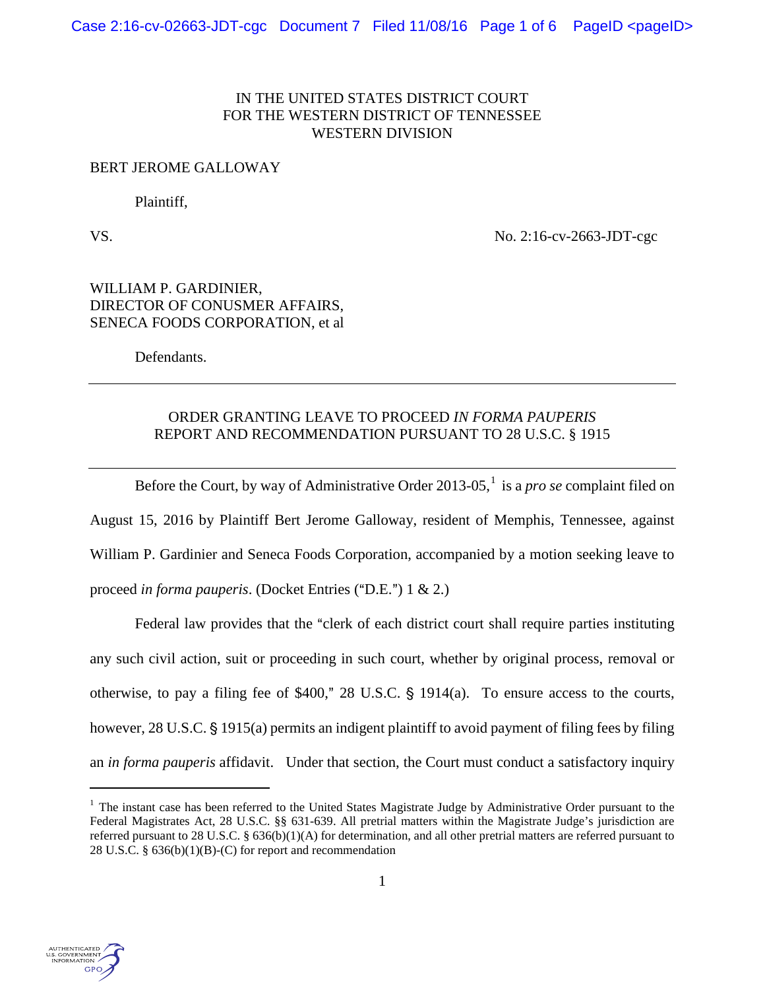## IN THE UNITED STATES DISTRICT COURT FOR THE WESTERN DISTRICT OF TENNESSEE WESTERN DIVISION

#### BERT JEROME GALLOWAY

Plaintiff,

VS. No. 2:16-cv-2663-JDT-cgc

# WILLIAM P. GARDINIER, DIRECTOR OF CONUSMER AFFAIRS, SENECA FOODS CORPORATION, et al

Defendants.

# ORDER GRANTING LEAVE TO PROCEED *IN FORMA PAUPERIS* REPORT AND RECOMMENDATION PURSUANT TO 28 U.S.C. § 1915

Before the Court, by way of Administrative Order 20[1](#page-0-0)3-05,<sup>1</sup> is a *pro se* complaint filed on August 15, 2016 by Plaintiff Bert Jerome Galloway, resident of Memphis, Tennessee, against William P. Gardinier and Seneca Foods Corporation, accompanied by a motion seeking leave to proceed *in forma pauperis*. (Docket Entries ("D.E.") 1 & 2.)

Federal law provides that the "clerk of each district court shall require parties instituting any such civil action, suit or proceeding in such court, whether by original process, removal or otherwise, to pay a filing fee of  $$400$ ," 28 U.S.C.  $$1914(a)$ . To ensure access to the courts, however, 28 U.S.C. § 1915(a) permits an indigent plaintiff to avoid payment of filing fees by filing an *in forma pauperis* affidavit. Under that section, the Court must conduct a satisfactory inquiry



i

<span id="page-0-0"></span><sup>&</sup>lt;sup>1</sup> The instant case has been referred to the United States Magistrate Judge by Administrative Order pursuant to the Federal Magistrates Act, 28 U.S.C. §§ 631-639. All pretrial matters within the Magistrate Judge's jurisdiction are referred pursuant to 28 U.S.C. § 636(b)(1)(A) for determination, and all other pretrial matters are referred pursuant to 28 U.S.C. § 636(b)(1)(B)-(C) for report and recommendation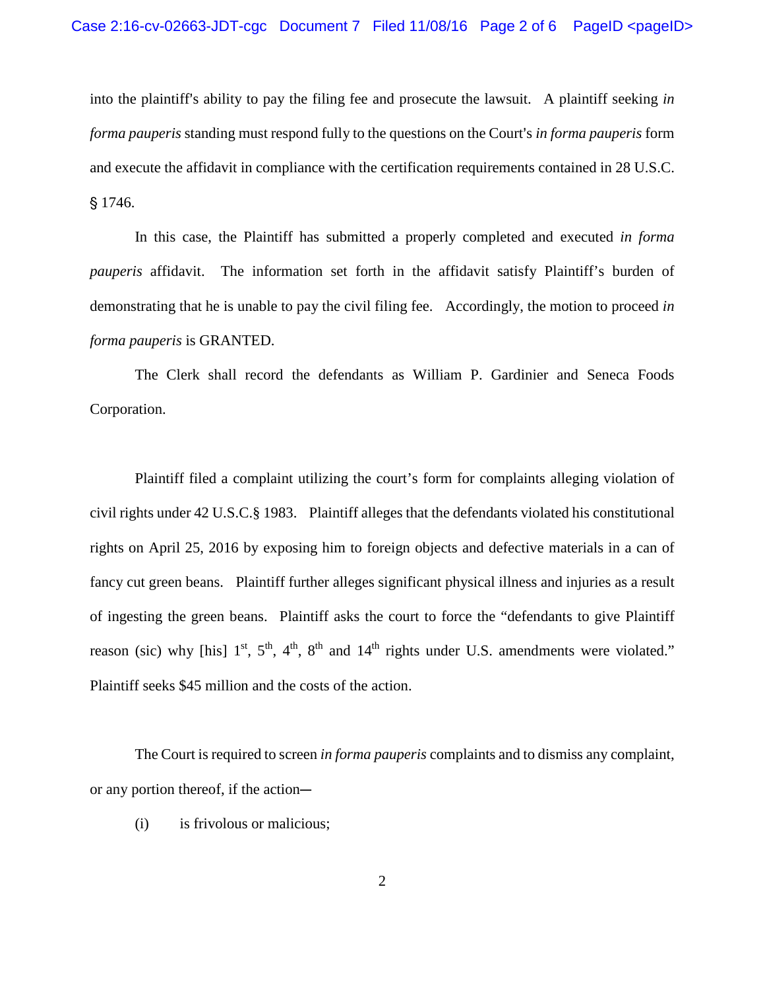into the plaintiff's ability to pay the filing fee and prosecute the lawsuit. A plaintiff seeking *in forma pauperis* standing must respond fully to the questions on the Court's *in forma pauperis* form and execute the affidavit in compliance with the certification requirements contained in 28 U.S.C. § 1746.

In this case, the Plaintiff has submitted a properly completed and executed *in forma pauperis* affidavit. The information set forth in the affidavit satisfy Plaintiff's burden of demonstrating that he is unable to pay the civil filing fee. Accordingly, the motion to proceed *in forma pauperis* is GRANTED.

The Clerk shall record the defendants as William P. Gardinier and Seneca Foods Corporation.

Plaintiff filed a complaint utilizing the court's form for complaints alleging violation of civil rights under 42 U.S.C.§ 1983. Plaintiff alleges that the defendants violated his constitutional rights on April 25, 2016 by exposing him to foreign objects and defective materials in a can of fancy cut green beans. Plaintiff further alleges significant physical illness and injuries as a result of ingesting the green beans. Plaintiff asks the court to force the "defendants to give Plaintiff reason (sic) why [his]  $1<sup>st</sup>$ ,  $5<sup>th</sup>$ ,  $4<sup>th</sup>$ ,  $8<sup>th</sup>$  and  $14<sup>th</sup>$  rights under U.S. amendments were violated." Plaintiff seeks \$45 million and the costs of the action.

The Court is required to screen *in forma pauperis* complaints and to dismiss any complaint, or any portion thereof, if the action—

(i) is frivolous or malicious;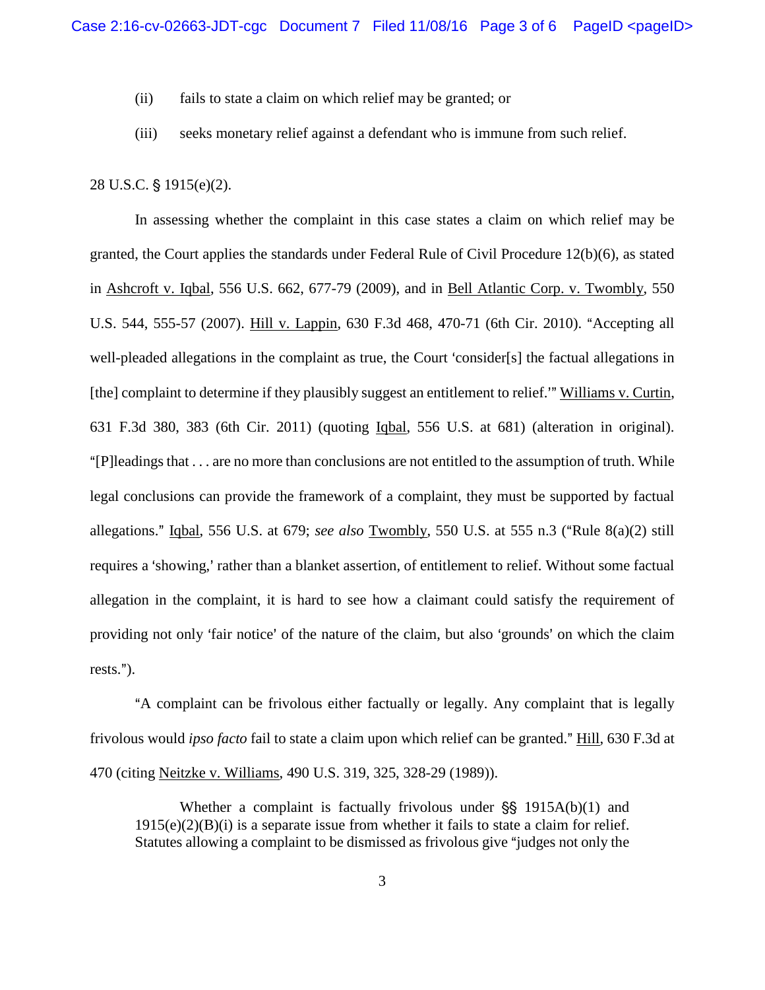- (ii) fails to state a claim on which relief may be granted; or
- (iii) seeks monetary relief against a defendant who is immune from such relief.

## 28 U.S.C. § 1915(e)(2).

In assessing whether the complaint in this case states a claim on which relief may be granted, the Court applies the standards under Federal Rule of Civil Procedure 12(b)(6), as stated in Ashcroft v. Iqbal, 556 U.S. 662, 677-79 (2009), and in Bell Atlantic Corp. v. Twombly, 550 U.S. 544, 555-57 (2007). Hill v. Lappin, 630 F.3d 468, 470-71 (6th Cir. 2010). "Accepting all well-pleaded allegations in the complaint as true, the Court 'consider[s] the factual allegations in [the] complaint to determine if they plausibly suggest an entitlement to relief.<sup>\*\*</sup> Williams v. Curtin, 631 F.3d 380, 383 (6th Cir. 2011) (quoting Iqbal, 556 U.S. at 681) (alteration in original). "[P]leadings that  $\dots$  are no more than conclusions are not entitled to the assumption of truth. While legal conclusions can provide the framework of a complaint, they must be supported by factual allegations." Igbal, 556 U.S. at 679; *see also* Twombly, 550 U.S. at 555 n.3 ("Rule 8(a)(2) still requires a 'showing,' rather than a blanket assertion, of entitlement to relief. Without some factual allegation in the complaint, it is hard to see how a claimant could satisfy the requirement of providing not only 'fair notice' of the nature of the claim, but also 'grounds' on which the claim rests.").

A complaint can be frivolous either factually or legally. Any complaint that is legally frivolous would *ipso facto* fail to state a claim upon which relief can be granted." Hill, 630 F.3d at 470 (citing Neitzke v. Williams, 490 U.S. 319, 325, 328-29 (1989)).

Whether a complaint is factually frivolous under  $\S$ [\stata\] 1915A(b)(1) and  $1915(e)(2)(B)(i)$  is a separate issue from whether it fails to state a claim for relief. Statutes allowing a complaint to be dismissed as frivolous give "judges not only the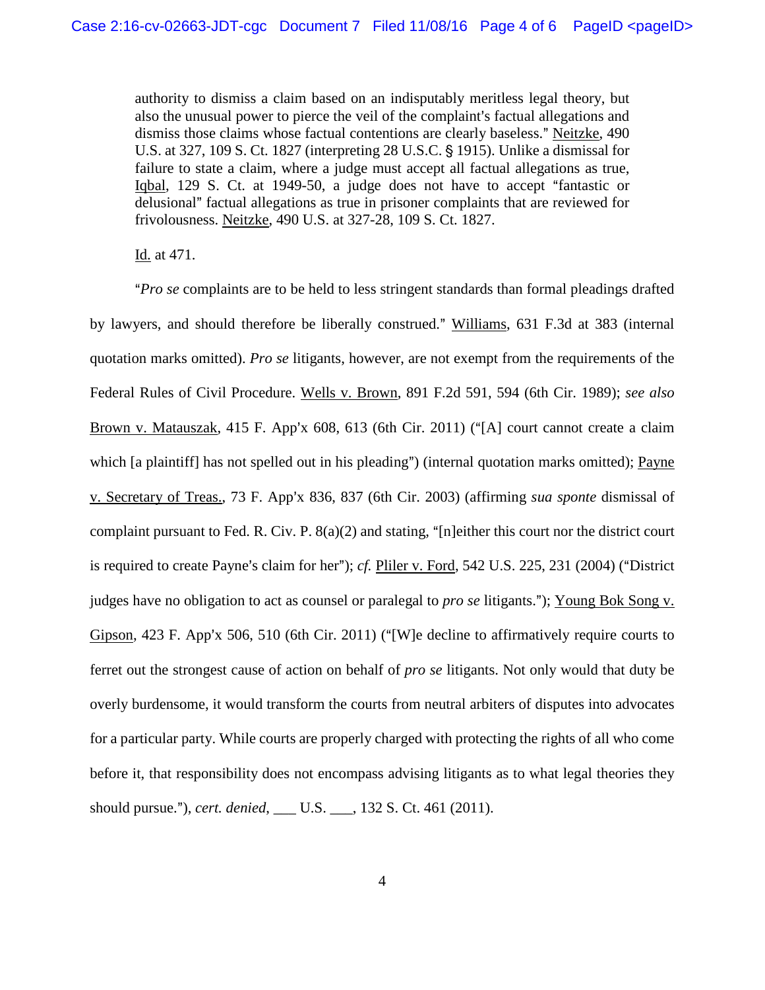authority to dismiss a claim based on an indisputably meritless legal theory, but also the unusual power to pierce the veil of the complaint's factual allegations and dismiss those claims whose factual contentions are clearly baseless." Neitzke, 490 U.S. at 327, 109 S. Ct. 1827 (interpreting 28 U.S.C. § 1915). Unlike a dismissal for failure to state a claim, where a judge must accept all factual allegations as true, Igbal, 129 S. Ct. at 1949-50, a judge does not have to accept "fantastic or delusional" factual allegations as true in prisoner complaints that are reviewed for frivolousness. Neitzke, 490 U.S. at 327-28, 109 S. Ct. 1827.

Id. at 471.

A*Pro se* complaints are to be held to less stringent standards than formal pleadings drafted by lawyers, and should therefore be liberally construed." Williams, 631 F.3d at 383 (internal quotation marks omitted). *Pro se* litigants, however, are not exempt from the requirements of the Federal Rules of Civil Procedure. Wells v. Brown, 891 F.2d 591, 594 (6th Cir. 1989); *see also* Brown v. Matauszak, 415 F. App'x 608, 613 (6th Cir. 2011) ("[A] court cannot create a claim which [a plaintiff] has not spelled out in his pleading") (internal quotation marks omitted); Payne v. Secretary of Treas., 73 F. App'x 836, 837 (6th Cir. 2003) (affirming *sua sponte* dismissal of complaint pursuant to Fed. R. Civ. P.  $8(a)(2)$  and stating, "[n]either this court nor the district court is required to create Payne's claim for her"); *cf.* Pliler v. Ford,  $542$  U.S.  $225$ ,  $231$  ( $2004$ ) ("District judges have no obligation to act as counsel or paralegal to *pro se* litigants."); Young Bok Song v. Gipson, 423 F. App'x 506, 510 (6th Cir. 2011) ("[W]e decline to affirmatively require courts to ferret out the strongest cause of action on behalf of *pro se* litigants. Not only would that duty be overly burdensome, it would transform the courts from neutral arbiters of disputes into advocates for a particular party. While courts are properly charged with protecting the rights of all who come before it, that responsibility does not encompass advising litigants as to what legal theories they should pursue."), *cert. denied*, \_\_\_ U.S. \_\_\_, 132 S. Ct. 461 (2011).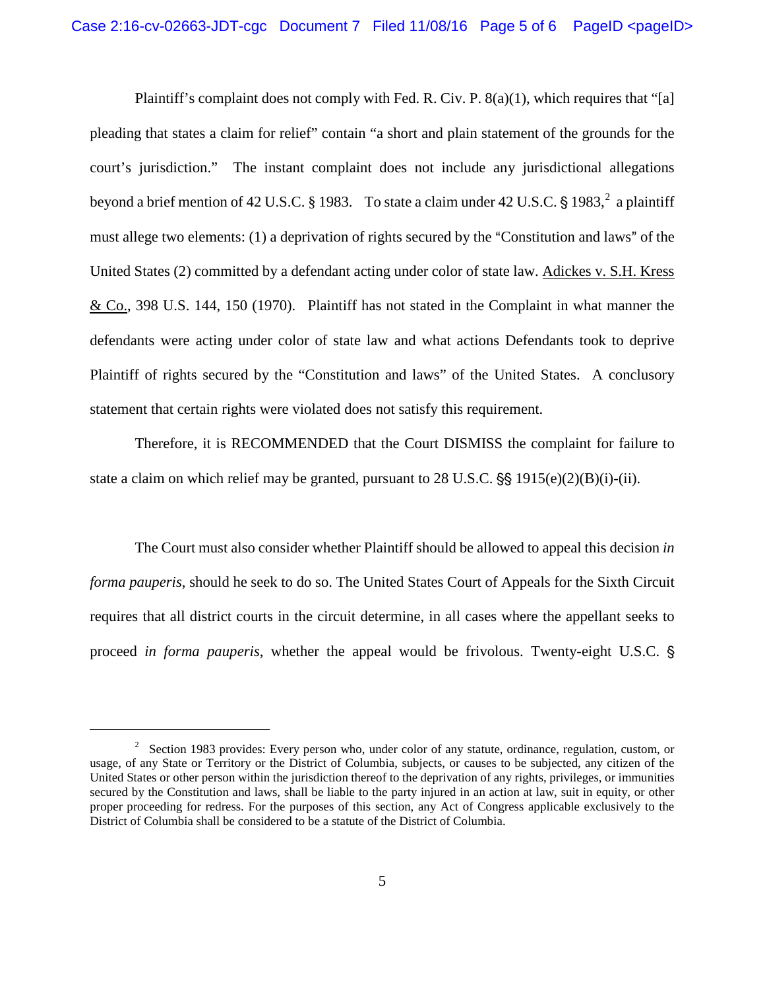Plaintiff's complaint does not comply with Fed. R. Civ. P. 8(a)(1), which requires that "[a] pleading that states a claim for relief" contain "a short and plain statement of the grounds for the court's jurisdiction." The instant complaint does not include any jurisdictional allegations beyond a brief mention of 4[2](#page-4-0) U.S.C. § 1983. To state a claim under 42 U.S.C. § 1983,  $\frac{2}{3}$  a plaintiff must allege two elements:  $(1)$  a deprivation of rights secured by the "Constitution and laws" of the United States (2) committed by a defendant acting under color of state law. Adickes v. S.H. Kress & Co., 398 U.S. 144, 150 (1970). Plaintiff has not stated in the Complaint in what manner the defendants were acting under color of state law and what actions Defendants took to deprive Plaintiff of rights secured by the "Constitution and laws" of the United States. A conclusory statement that certain rights were violated does not satisfy this requirement.

Therefore, it is RECOMMENDED that the Court DISMISS the complaint for failure to state a claim on which relief may be granted, pursuant to 28 U.S.C.  $\frac{1}{5}$  1915(e)(2)(B)(i)-(ii).

The Court must also consider whether Plaintiff should be allowed to appeal this decision *in forma pauperis*, should he seek to do so. The United States Court of Appeals for the Sixth Circuit requires that all district courts in the circuit determine, in all cases where the appellant seeks to proceed *in forma pauperis*, whether the appeal would be frivolous. Twenty-eight U.S.C. '

i<br>I

<span id="page-4-0"></span><sup>&</sup>lt;sup>2</sup> Section 1983 provides: Every person who, under color of any statute, ordinance, regulation, custom, or usage, of any State or Territory or the District of Columbia, subjects, or causes to be subjected, any citizen of the United States or other person within the jurisdiction thereof to the deprivation of any rights, privileges, or immunities secured by the Constitution and laws, shall be liable to the party injured in an action at law, suit in equity, or other proper proceeding for redress. For the purposes of this section, any Act of Congress applicable exclusively to the District of Columbia shall be considered to be a statute of the District of Columbia.